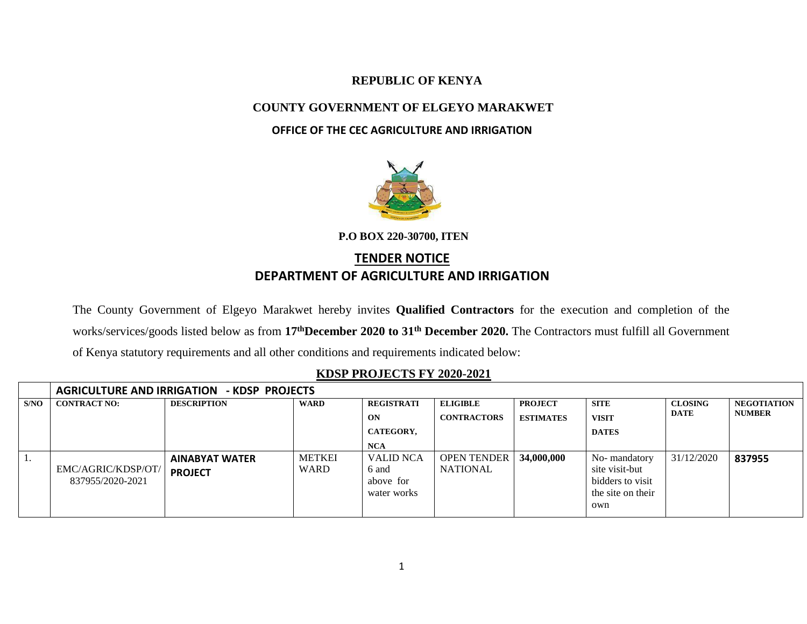## **REPUBLIC OF KENYA**

## **COUNTY GOVERNMENT OF ELGEYO MARAKWET**

## **OFFICE OF THE CEC AGRICULTURE AND IRRIGATION**



**P.O BOX 220-30700, ITEN** 

# **TENDER NOTICE DEPARTMENT OF AGRICULTURE AND IRRIGATION**

The County Government of Elgeyo Marakwet hereby invites **Qualified Contractors** for the execution and completion of the works/services/goods listed below as from **17thDecember 2020 to 31th December 2020.** The Contractors must fulfill all Government of Kenya statutory requirements and all other conditions and requirements indicated below:

### **KDSP PROJECTS FY 2020-2021**

|      | <b>AGRICULTURE AND IRRIGATION - KDSP PROJECTS</b> |                       |               |                   |                    |                  |                   |                               |                                     |  |
|------|---------------------------------------------------|-----------------------|---------------|-------------------|--------------------|------------------|-------------------|-------------------------------|-------------------------------------|--|
| S/NO | <b>CONTRACT NO:</b>                               | <b>DESCRIPTION</b>    | <b>WARD</b>   | <b>REGISTRATI</b> | <b>ELIGIBLE</b>    | <b>PROJECT</b>   | <b>SITE</b>       | <b>CLOSING</b><br><b>DATE</b> | <b>NEGOTIATION</b><br><b>NUMBER</b> |  |
|      |                                                   |                       |               | ON                | <b>CONTRACTORS</b> | <b>ESTIMATES</b> | <b>VISIT</b>      |                               |                                     |  |
|      |                                                   |                       |               | CATEGORY,         |                    |                  | <b>DATES</b>      |                               |                                     |  |
|      |                                                   |                       |               | <b>NCA</b>        |                    |                  |                   |                               |                                     |  |
| . .  |                                                   | <b>AINABYAT WATER</b> | <b>METKEI</b> | <b>VALID NCA</b>  | <b>OPEN TENDER</b> | 34,000,000       | No-mandatory      | 31/12/2020                    | 837955                              |  |
|      | EMC/AGRIC/KDSP/OT/                                | <b>PROJECT</b>        | <b>WARD</b>   | 6 and             | <b>NATIONAL</b>    |                  | site visit-but    |                               |                                     |  |
|      | 837955/2020-2021                                  |                       |               | above for         |                    |                  | bidders to visit  |                               |                                     |  |
|      |                                                   |                       |               | water works       |                    |                  | the site on their |                               |                                     |  |
|      |                                                   |                       |               |                   |                    |                  | own               |                               |                                     |  |
|      |                                                   |                       |               |                   |                    |                  |                   |                               |                                     |  |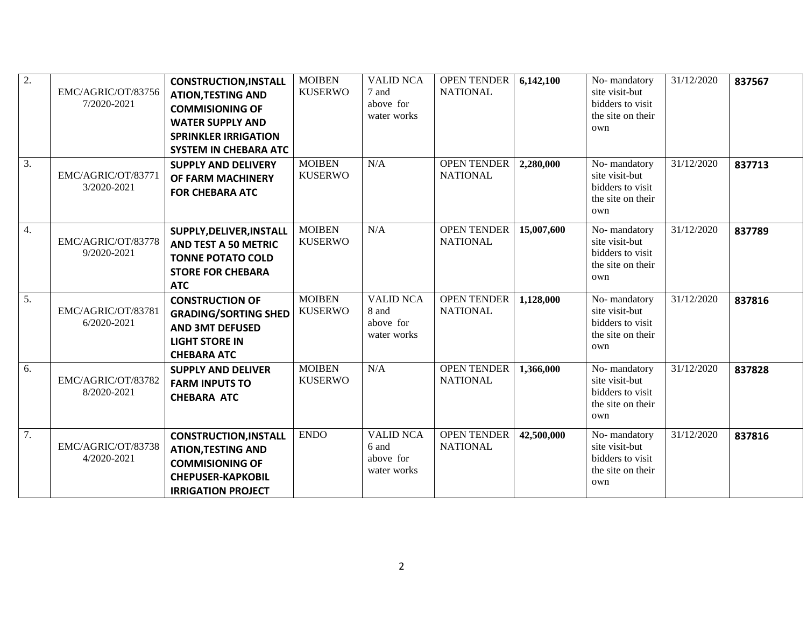| 2. | EMC/AGRIC/OT/83756<br>7/2020-2021 | <b>CONSTRUCTION, INSTALL</b><br><b>ATION, TESTING AND</b><br><b>COMMISIONING OF</b><br><b>WATER SUPPLY AND</b><br><b>SPRINKLER IRRIGATION</b><br><b>SYSTEM IN CHEBARA ATC</b> | <b>MOIBEN</b><br><b>KUSERWO</b> | <b>VALID NCA</b><br>7 and<br>above for<br>water works | <b>OPEN TENDER</b><br><b>NATIONAL</b> | 6,142,100  | No-mandatory<br>site visit-but<br>bidders to visit<br>the site on their<br>own | 31/12/2020 | 837567 |
|----|-----------------------------------|-------------------------------------------------------------------------------------------------------------------------------------------------------------------------------|---------------------------------|-------------------------------------------------------|---------------------------------------|------------|--------------------------------------------------------------------------------|------------|--------|
| 3. | EMC/AGRIC/OT/83771<br>3/2020-2021 | <b>SUPPLY AND DELIVERY</b><br>OF FARM MACHINERY<br><b>FOR CHEBARA ATC</b>                                                                                                     | <b>MOIBEN</b><br><b>KUSERWO</b> | N/A                                                   | OPEN TENDER<br><b>NATIONAL</b>        | 2,280,000  | No-mandatory<br>site visit-but<br>bidders to visit<br>the site on their<br>own | 31/12/2020 | 837713 |
| 4. | EMC/AGRIC/OT/83778<br>9/2020-2021 | SUPPLY, DELIVER, INSTALL<br><b>AND TEST A 50 METRIC</b><br><b>TONNE POTATO COLD</b><br><b>STORE FOR CHEBARA</b><br><b>ATC</b>                                                 | <b>MOIBEN</b><br><b>KUSERWO</b> | N/A                                                   | OPEN TENDER<br><b>NATIONAL</b>        | 15,007,600 | No-mandatory<br>site visit-but<br>bidders to visit<br>the site on their<br>own | 31/12/2020 | 837789 |
| 5. | EMC/AGRIC/OT/83781<br>6/2020-2021 | <b>CONSTRUCTION OF</b><br><b>GRADING/SORTING SHED</b><br><b>AND 3MT DEFUSED</b><br><b>LIGHT STORE IN</b><br><b>CHEBARA ATC</b>                                                | <b>MOIBEN</b><br><b>KUSERWO</b> | <b>VALID NCA</b><br>8 and<br>above for<br>water works | <b>OPEN TENDER</b><br><b>NATIONAL</b> | 1,128,000  | No-mandatory<br>site visit-but<br>bidders to visit<br>the site on their<br>own | 31/12/2020 | 837816 |
| 6. | EMC/AGRIC/OT/83782<br>8/2020-2021 | <b>SUPPLY AND DELIVER</b><br><b>FARM INPUTS TO</b><br><b>CHEBARA ATC</b>                                                                                                      | <b>MOIBEN</b><br><b>KUSERWO</b> | N/A                                                   | <b>OPEN TENDER</b><br><b>NATIONAL</b> | 1,366,000  | No-mandatory<br>site visit-but<br>bidders to visit<br>the site on their<br>own | 31/12/2020 | 837828 |
| 7. | EMC/AGRIC/OT/83738<br>4/2020-2021 | <b>CONSTRUCTION, INSTALL</b><br><b>ATION, TESTING AND</b><br><b>COMMISIONING OF</b><br><b>CHEPUSER-KAPKOBIL</b><br><b>IRRIGATION PROJECT</b>                                  | <b>ENDO</b>                     | <b>VALID NCA</b><br>6 and<br>above for<br>water works | <b>OPEN TENDER</b><br><b>NATIONAL</b> | 42,500,000 | No-mandatory<br>site visit-but<br>bidders to visit<br>the site on their<br>own | 31/12/2020 | 837816 |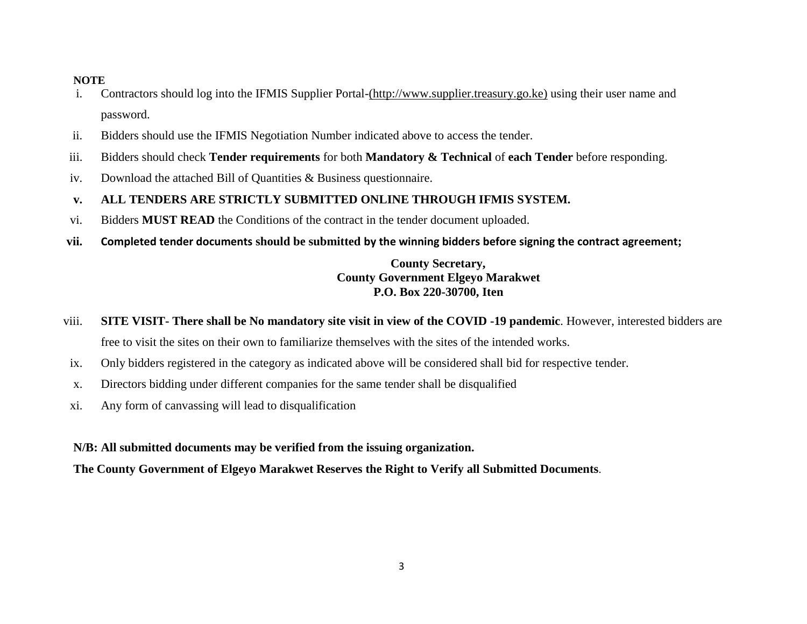#### **NOTE**

- i. Contractors should log into the IFMIS Supplier Portal-(http:/[/www.supplier.treasury.go.ke\)](http://www.supplier.treasury.go.ke/) using their user name and password.
- ii. Bidders should use the IFMIS Negotiation Number indicated above to access the tender.
- iii. Bidders should check **Tender requirements** for both **Mandatory & Technical** of **each Tender** before responding.
- iv. Download the attached Bill of Quantities & Business questionnaire.
- **v. ALL TENDERS ARE STRICTLY SUBMITTED ONLINE THROUGH IFMIS SYSTEM.**
- vi. Bidders **MUST READ** the Conditions of the contract in the tender document uploaded.
- **vii. Completed tender documents should be submitted by the winning bidders before signing the contract agreement;**

## **County Secretary, County Government Elgeyo Marakwet P.O. Box 220-30700, Iten**

- viii. **SITE VISIT- There shall be No mandatory site visit in view of the COVID -19 pandemic**. However, interested bidders are free to visit the sites on their own to familiarize themselves with the sites of the intended works.
- ix. Only bidders registered in the category as indicated above will be considered shall bid for respective tender.
- x. Directors bidding under different companies for the same tender shall be disqualified
- xi. Any form of canvassing will lead to disqualification

**N/B: All submitted documents may be verified from the issuing organization.** 

**The County Government of Elgeyo Marakwet Reserves the Right to Verify all Submitted Documents**.